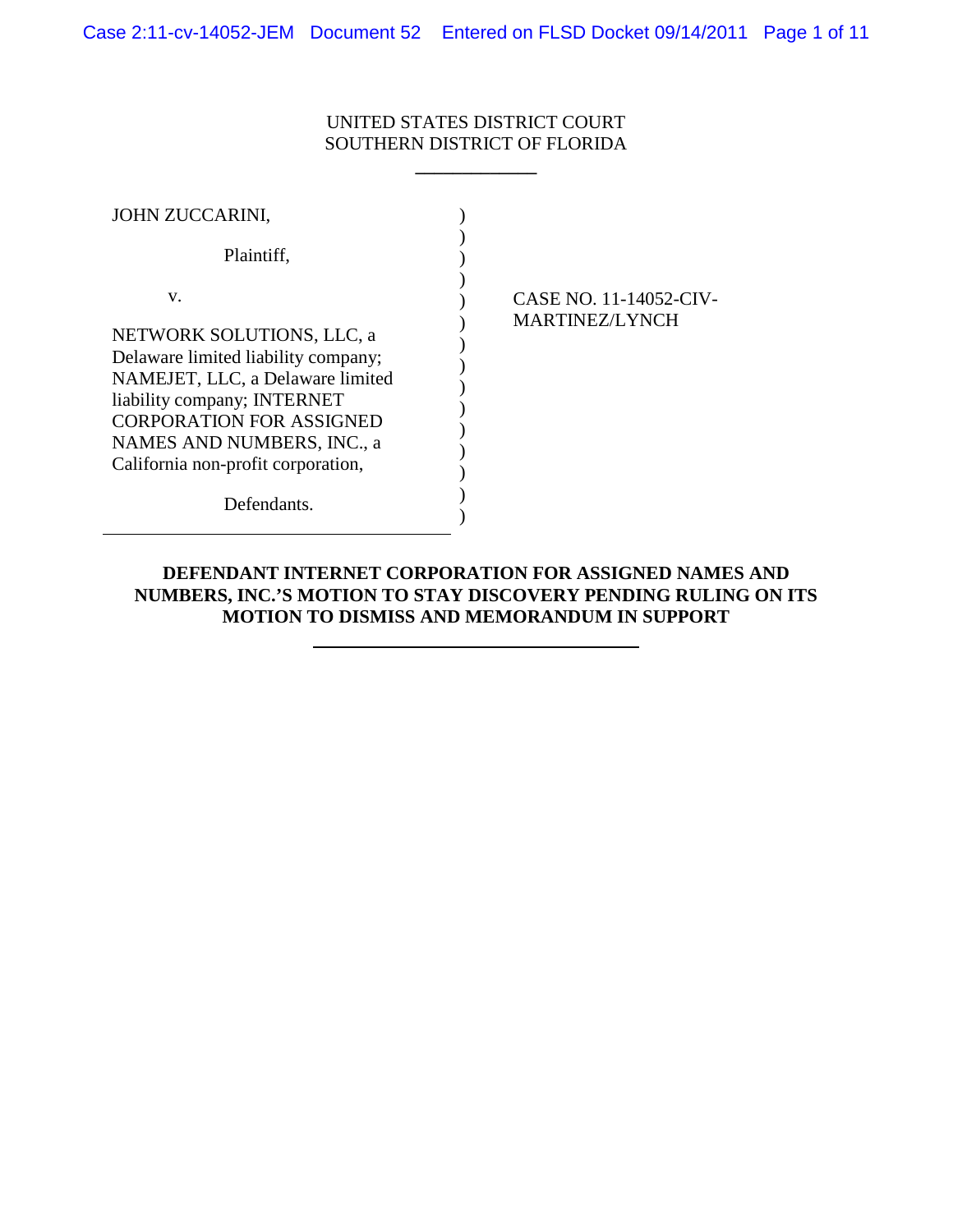# UNITED STATES DISTRICT COURT SOUTHERN DISTRICT OF FLORIDA

**\_\_\_\_\_\_\_\_\_\_\_\_\_**

| JOHN ZUCCARINI,                                                                                                                                                                                                                                  |                                                 |
|--------------------------------------------------------------------------------------------------------------------------------------------------------------------------------------------------------------------------------------------------|-------------------------------------------------|
| Plaintiff,                                                                                                                                                                                                                                       |                                                 |
| V.<br>NETWORK SOLUTIONS, LLC, a<br>Delaware limited liability company;<br>NAMEJET, LLC, a Delaware limited<br>liability company; INTERNET<br><b>CORPORATION FOR ASSIGNED</b><br>NAMES AND NUMBERS, INC., a<br>California non-profit corporation, | CASE NO. 11-14052-CIV-<br><b>MARTINEZ/LYNCH</b> |
| Defendants.                                                                                                                                                                                                                                      |                                                 |

## **DEFENDANT INTERNET CORPORATION FOR ASSIGNED NAMES AND NUMBERS, INC.'S MOTION TO STAY DISCOVERY PENDING RULING ON ITS MOTION TO DISMISS AND MEMORANDUM IN SUPPORT**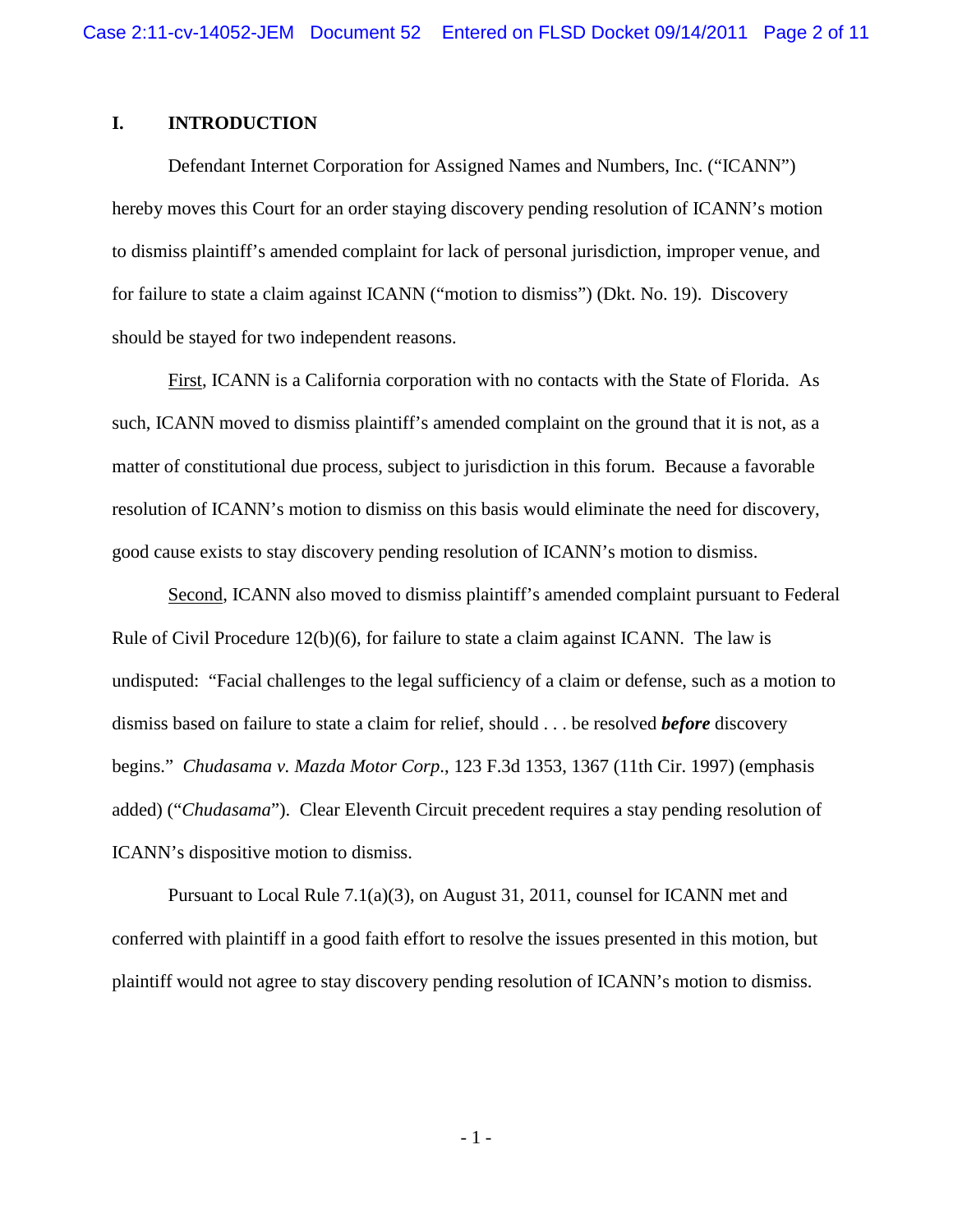## **I. INTRODUCTION**

Defendant Internet Corporation for Assigned Names and Numbers, Inc. ("ICANN") hereby moves this Court for an order staying discovery pending resolution of ICANN's motion to dismiss plaintiff's amended complaint for lack of personal jurisdiction, improper venue, and for failure to state a claim against ICANN ("motion to dismiss") (Dkt. No. 19). Discovery should be stayed for two independent reasons.

First, ICANN is a California corporation with no contacts with the State of Florida. As such, ICANN moved to dismiss plaintiff's amended complaint on the ground that it is not, as a matter of constitutional due process, subject to jurisdiction in this forum. Because a favorable resolution of ICANN's motion to dismiss on this basis would eliminate the need for discovery, good cause exists to stay discovery pending resolution of ICANN's motion to dismiss.

Second, ICANN also moved to dismiss plaintiff's amended complaint pursuant to Federal Rule of Civil Procedure  $12(b)(6)$ , for failure to state a claim against ICANN. The law is undisputed: "Facial challenges to the legal sufficiency of a claim or defense, such as a motion to dismiss based on failure to state a claim for relief, should . . . be resolved *before* discovery begins." *Chudasama v. Mazda Motor Corp*., 123 F.3d 1353, 1367 (11th Cir. 1997) (emphasis added) ("*Chudasama*"). Clear Eleventh Circuit precedent requires a stay pending resolution of ICANN's dispositive motion to dismiss.

Pursuant to Local Rule 7.1(a)(3), on August 31, 2011, counsel for ICANN met and conferred with plaintiff in a good faith effort to resolve the issues presented in this motion, but plaintiff would not agree to stay discovery pending resolution of ICANN's motion to dismiss.

- 1 -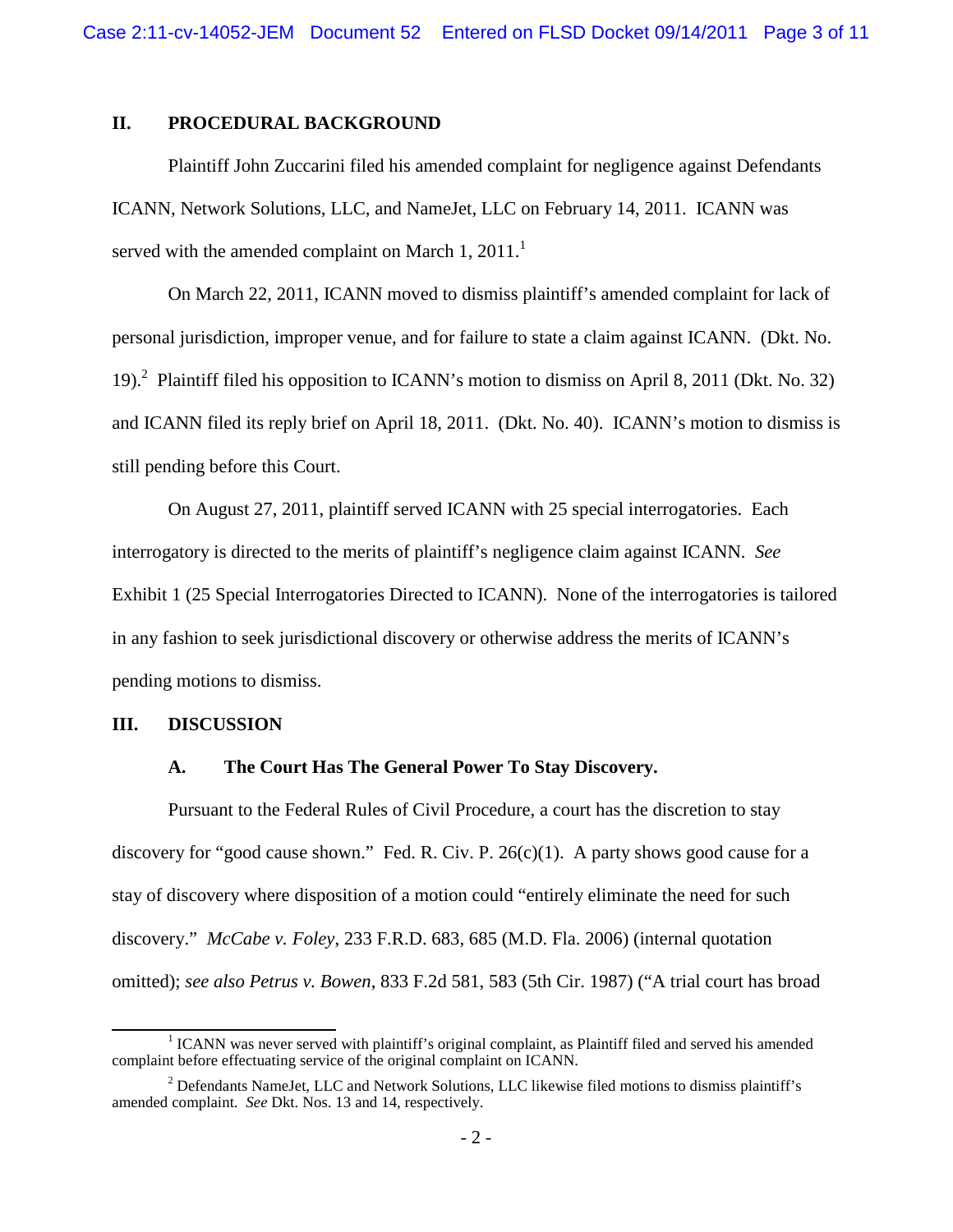## **II. PROCEDURAL BACKGROUND**

Plaintiff John Zuccarini filed his amended complaint for negligence against Defendants ICANN, Network Solutions, LLC, and NameJet, LLC on February 14, 2011. ICANN was served with the amended complaint on March 1,  $2011<sup>1</sup>$ 

On March 22, 2011, ICANN moved to dismiss plaintiff's amended complaint for lack of personal jurisdiction, improper venue, and for failure to state a claim against ICANN. (Dkt. No. 19).<sup>2</sup> Plaintiff filed his opposition to ICANN's motion to dismiss on April 8, 2011 (Dkt. No. 32) and ICANN filed its reply brief on April 18, 2011. (Dkt. No. 40). ICANN's motion to dismiss is still pending before this Court.

On August 27, 2011, plaintiff served ICANN with 25 special interrogatories. Each interrogatory is directed to the merits of plaintiff's negligence claim against ICANN. *See* Exhibit 1 (25 Special Interrogatories Directed to ICANN). None of the interrogatories is tailored in any fashion to seek jurisdictional discovery or otherwise address the merits of ICANN's pending motions to dismiss.

### **III. DISCUSSION**

### **A. The Court Has The General Power To Stay Discovery.**

Pursuant to the Federal Rules of Civil Procedure, a court has the discretion to stay discovery for "good cause shown." Fed. R. Civ. P. 26(c)(1). A party shows good cause for a stay of discovery where disposition of a motion could "entirely eliminate the need for such discovery." *McCabe v. Foley*, 233 F.R.D. 683, 685 (M.D. Fla. 2006) (internal quotation omitted); *see also Petrus v. Bowen*, 833 F.2d 581, 583 (5th Cir. 1987) ("A trial court has broad

<sup>&</sup>lt;sup>1</sup> ICANN was never served with plaintiff's original complaint, as Plaintiff filed and served his amended complaint before effectuating service of the original complaint on ICANN.

<sup>&</sup>lt;sup>2</sup> Defendants NameJet, LLC and Network Solutions, LLC likewise filed motions to dismiss plaintiff's amended complaint. *See* Dkt. Nos. 13 and 14, respectively.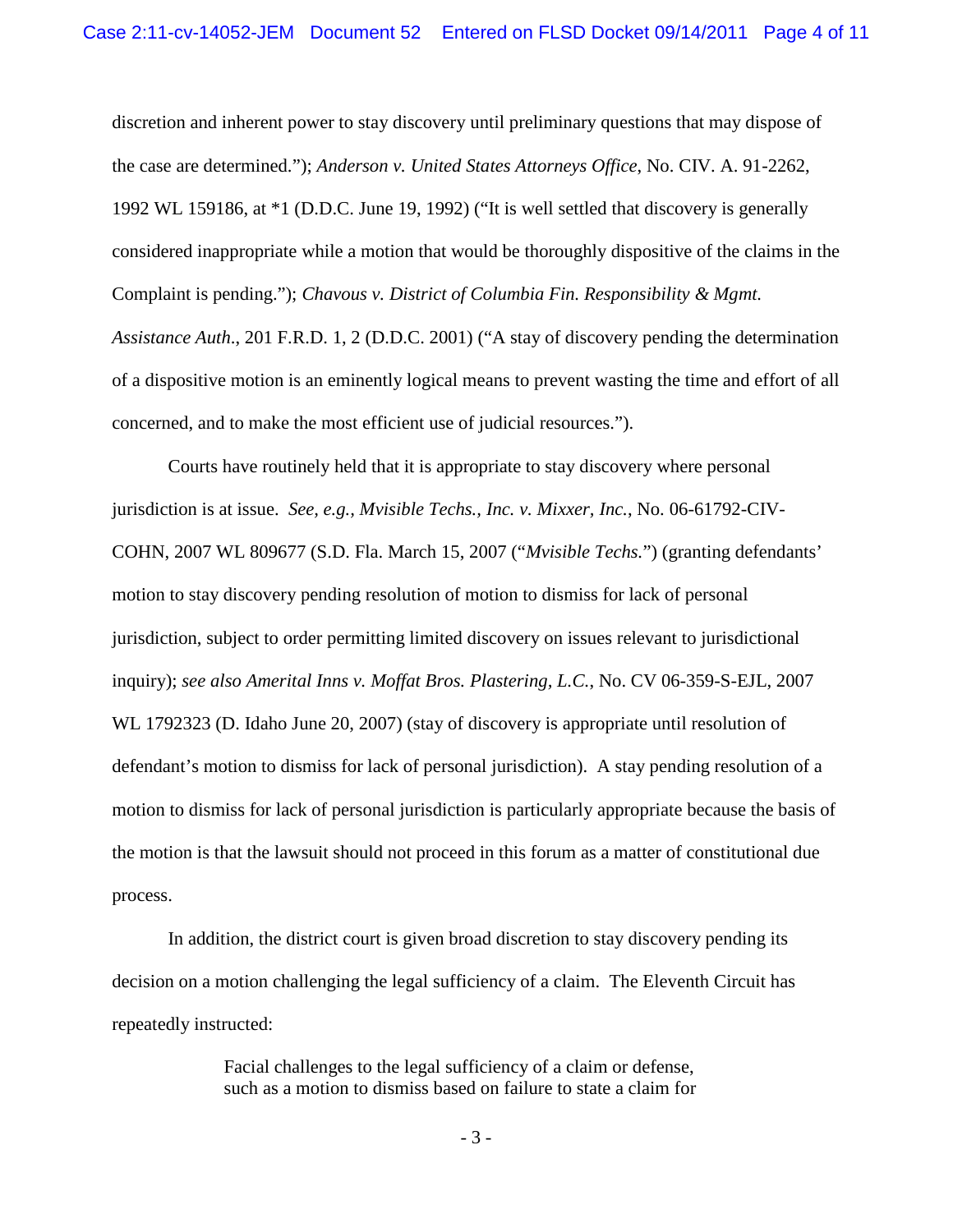discretion and inherent power to stay discovery until preliminary questions that may dispose of the case are determined."); *Anderson v. United States Attorneys Office*, No. CIV. A. 91-2262, 1992 WL 159186, at \*1 (D.D.C. June 19, 1992) ("It is well settled that discovery is generally considered inappropriate while a motion that would be thoroughly dispositive of the claims in the Complaint is pending."); *Chavous v. District of Columbia Fin. Responsibility & Mgmt. Assistance Auth*., 201 F.R.D. 1, 2 (D.D.C. 2001) ("A stay of discovery pending the determination of a dispositive motion is an eminently logical means to prevent wasting the time and effort of all concerned, and to make the most efficient use of judicial resources.").

Courts have routinely held that it is appropriate to stay discovery where personal jurisdiction is at issue. *See, e.g., Mvisible Techs., Inc. v. Mixxer, Inc.*, No. 06-61792-CIV-COHN, 2007 WL 809677 (S.D. Fla. March 15, 2007 ("*Mvisible Techs.*") (granting defendants' motion to stay discovery pending resolution of motion to dismiss for lack of personal jurisdiction, subject to order permitting limited discovery on issues relevant to jurisdictional inquiry); *see also Amerital Inns v. Moffat Bros. Plastering, L.C.*, No. CV 06-359-S-EJL, 2007 WL 1792323 (D. Idaho June 20, 2007) (stay of discovery is appropriate until resolution of defendant's motion to dismiss for lack of personal jurisdiction). A stay pending resolution of a motion to dismiss for lack of personal jurisdiction is particularly appropriate because the basis of the motion is that the lawsuit should not proceed in this forum as a matter of constitutional due process.

In addition, the district court is given broad discretion to stay discovery pending its decision on a motion challenging the legal sufficiency of a claim. The Eleventh Circuit has repeatedly instructed:

> Facial challenges to the legal sufficiency of a claim or defense, such as a motion to dismiss based on failure to state a claim for

> > - 3 -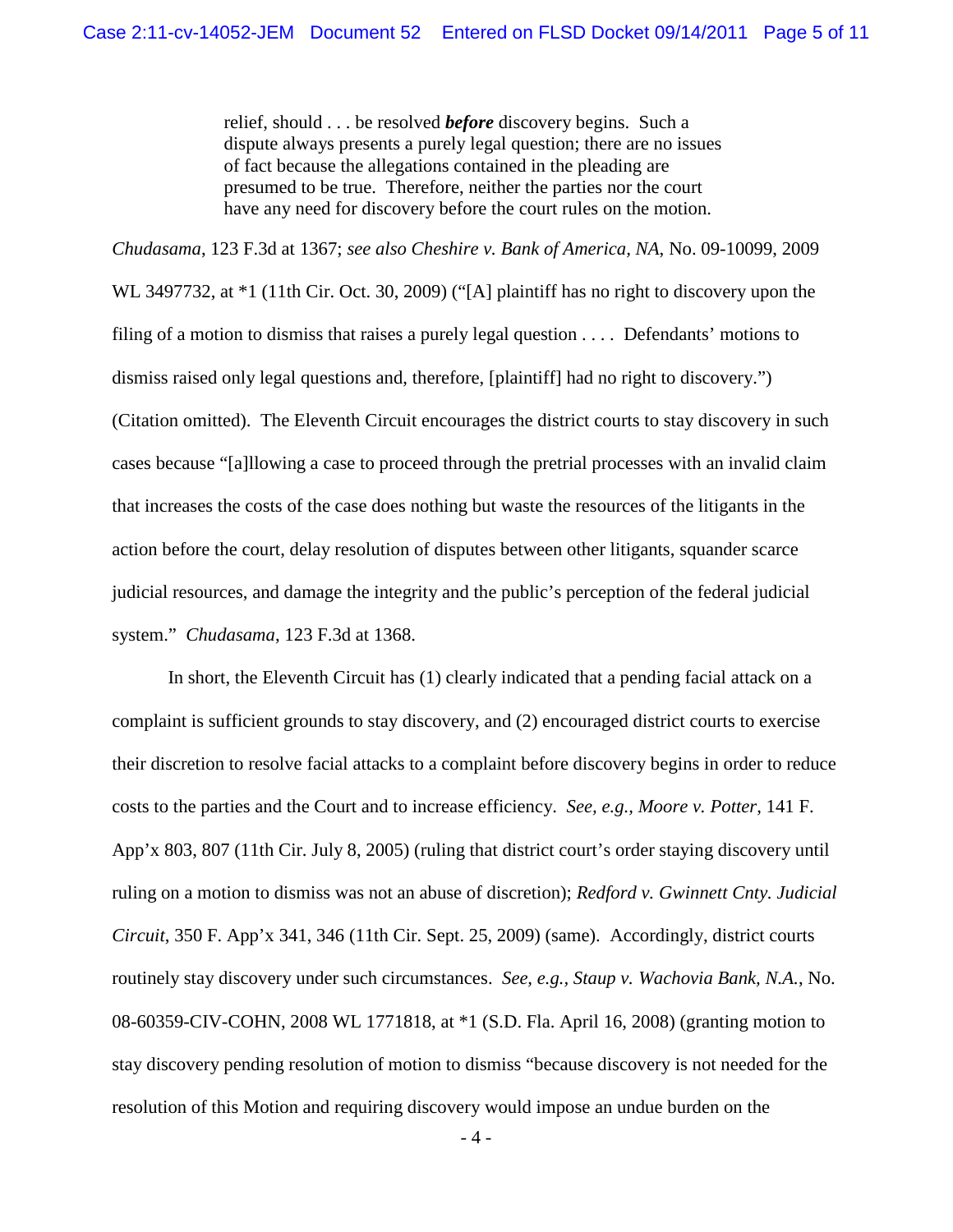relief, should . . . be resolved *before* discovery begins. Such a dispute always presents a purely legal question; there are no issues of fact because the allegations contained in the pleading are presumed to be true. Therefore, neither the parties nor the court have any need for discovery before the court rules on the motion.

*Chudasama*, 123 F.3d at 1367; *see also Cheshire v. Bank of America, NA*, No. 09-10099, 2009

WL 3497732, at  $*1$  (11th Cir. Oct. 30, 2009) ("[A] plaintiff has no right to discovery upon the filing of a motion to dismiss that raises a purely legal question . . . . Defendants' motions to dismiss raised only legal questions and, therefore, [plaintiff] had no right to discovery.") (Citation omitted). The Eleventh Circuit encourages the district courts to stay discovery in such cases because "[a]llowing a case to proceed through the pretrial processes with an invalid claim that increases the costs of the case does nothing but waste the resources of the litigants in the action before the court, delay resolution of disputes between other litigants, squander scarce judicial resources, and damage the integrity and the public's perception of the federal judicial system." *Chudasama*, 123 F.3d at 1368.

In short, the Eleventh Circuit has (1) clearly indicated that a pending facial attack on a complaint is sufficient grounds to stay discovery, and (2) encouraged district courts to exercise their discretion to resolve facial attacks to a complaint before discovery begins in order to reduce costs to the parties and the Court and to increase efficiency. *See, e.g., Moore v. Potter*, 141 F. App'x 803, 807 (11th Cir. July 8, 2005) (ruling that district court's order staying discovery until ruling on a motion to dismiss was not an abuse of discretion); *Redford v. Gwinnett Cnty. Judicial Circuit*, 350 F. App'x 341, 346 (11th Cir. Sept. 25, 2009) (same). Accordingly, district courts routinely stay discovery under such circumstances. *See, e.g., Staup v. Wachovia Bank, N.A.*, No. 08-60359-CIV-COHN, 2008 WL 1771818, at \*1 (S.D. Fla. April 16, 2008) (granting motion to stay discovery pending resolution of motion to dismiss "because discovery is not needed for the resolution of this Motion and requiring discovery would impose an undue burden on the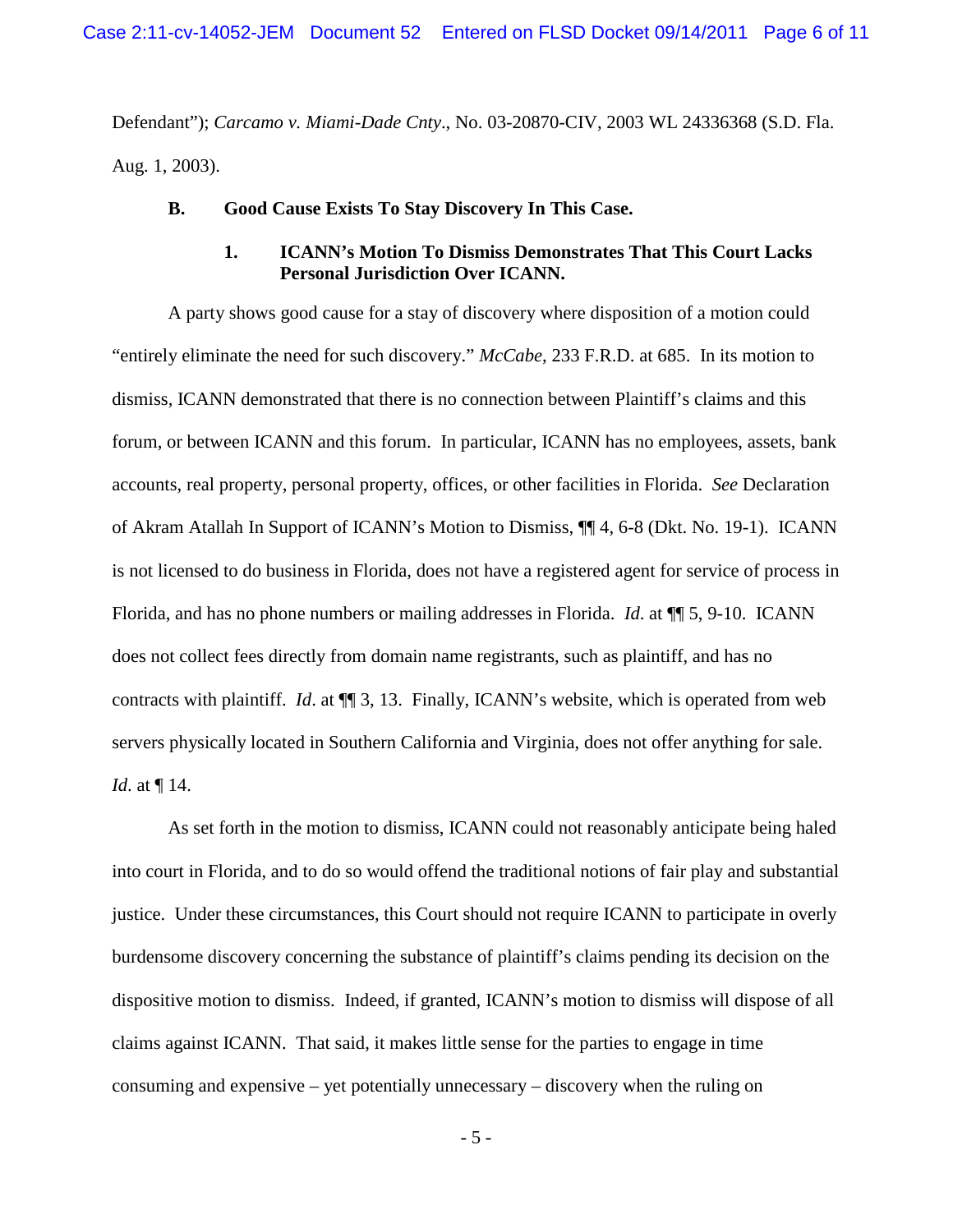Defendant"); *Carcamo v. Miami-Dade Cnty*., No. 03-20870-CIV, 2003 WL 24336368 (S.D. Fla. Aug. 1, 2003).

### **B. Good Cause Exists To Stay Discovery In This Case.**

### **1. ICANN's Motion To Dismiss Demonstrates That This Court Lacks Personal Jurisdiction Over ICANN.**

A party shows good cause for a stay of discovery where disposition of a motion could "entirely eliminate the need for such discovery." *McCabe*, 233 F.R.D. at 685. In its motion to dismiss, ICANN demonstrated that there is no connection between Plaintiff's claims and this forum, or between ICANN and this forum. In particular, ICANN has no employees, assets, bank accounts, real property, personal property, offices, or other facilities in Florida. *See* Declaration of Akram Atallah In Support of ICANN's Motion to Dismiss, ¶¶ 4, 6-8 (Dkt. No. 19-1). ICANN is not licensed to do business in Florida, does not have a registered agent for service of process in Florida, and has no phone numbers or mailing addresses in Florida. *Id*. at ¶¶ 5, 9-10. ICANN does not collect fees directly from domain name registrants, such as plaintiff, and has no contracts with plaintiff. *Id*. at ¶¶ 3, 13. Finally, ICANN's website, which is operated from web servers physically located in Southern California and Virginia, does not offer anything for sale. *Id*. at ¶ 14.

As set forth in the motion to dismiss, ICANN could not reasonably anticipate being haled into court in Florida, and to do so would offend the traditional notions of fair play and substantial justice. Under these circumstances, this Court should not require ICANN to participate in overly burdensome discovery concerning the substance of plaintiff's claims pending its decision on the dispositive motion to dismiss. Indeed, if granted, ICANN's motion to dismiss will dispose of all claims against ICANN. That said, it makes little sense for the parties to engage in time consuming and expensive – yet potentially unnecessary – discovery when the ruling on

- 5 -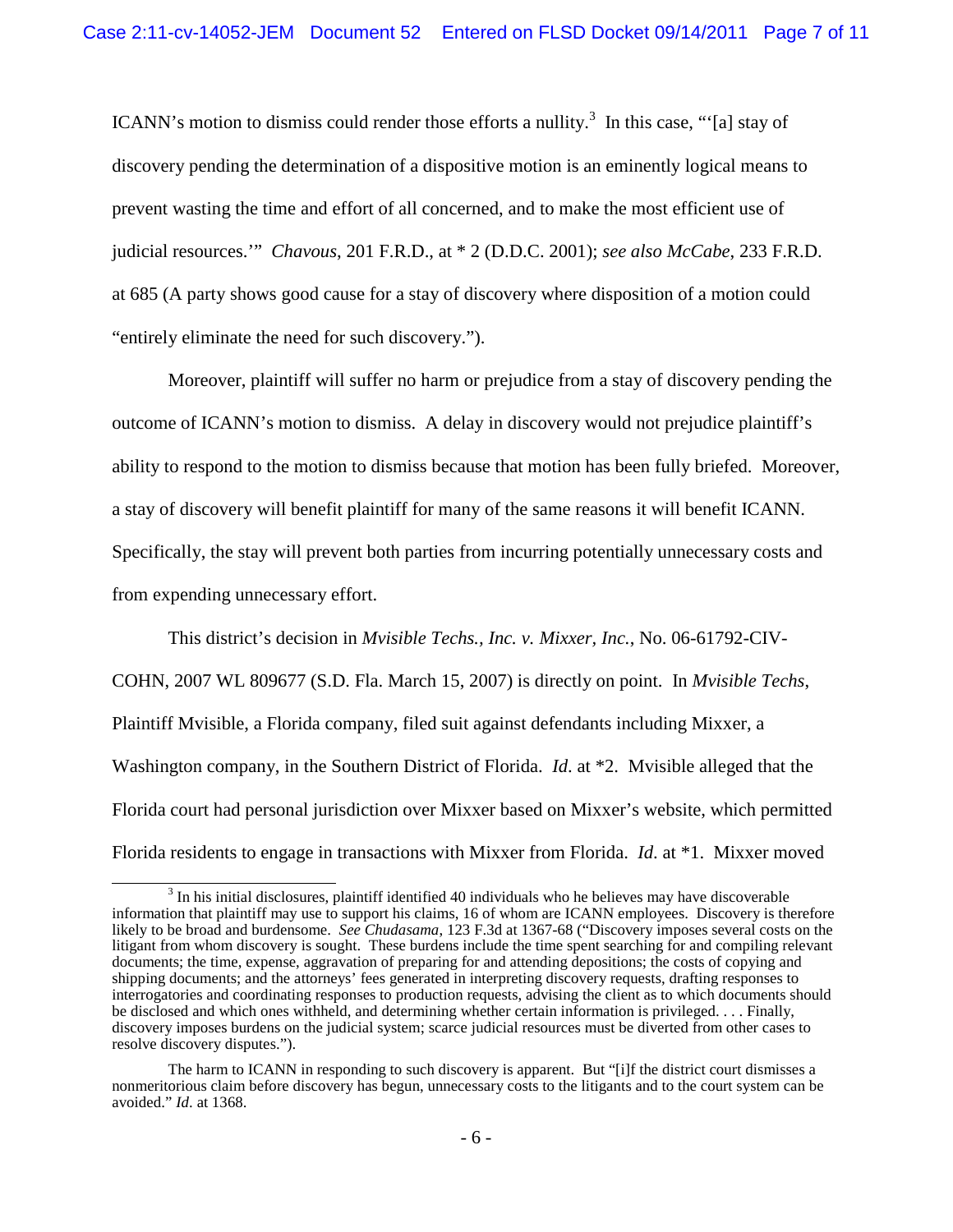ICANN's motion to dismiss could render those efforts a nullity.<sup>3</sup> In this case, "'[a] stay of discovery pending the determination of a dispositive motion is an eminently logical means to prevent wasting the time and effort of all concerned, and to make the most efficient use of judicial resources.'" *Chavous*, 201 F.R.D., at \* 2 (D.D.C. 2001); *see also McCabe*, 233 F.R.D. at 685 (A party shows good cause for a stay of discovery where disposition of a motion could "entirely eliminate the need for such discovery.").

Moreover, plaintiff will suffer no harm or prejudice from a stay of discovery pending the outcome of ICANN's motion to dismiss. A delay in discovery would not prejudice plaintiff's ability to respond to the motion to dismiss because that motion has been fully briefed. Moreover, a stay of discovery will benefit plaintiff for many of the same reasons it will benefit ICANN. Specifically, the stay will prevent both parties from incurring potentially unnecessary costs and from expending unnecessary effort.

This district's decision in *Mvisible Techs., Inc. v. Mixxer, Inc.*, No. 06-61792-CIV-COHN, 2007 WL 809677 (S.D. Fla. March 15, 2007) is directly on point. In *Mvisible Techs*, Plaintiff Mvisible, a Florida company, filed suit against defendants including Mixxer, a Washington company, in the Southern District of Florida. *Id*. at \*2. Mvisible alleged that the Florida court had personal jurisdiction over Mixxer based on Mixxer's website, which permitted Florida residents to engage in transactions with Mixxer from Florida. *Id*. at \*1. Mixxer moved

 $3$  In his initial disclosures, plaintiff identified 40 individuals who he believes may have discoverable information that plaintiff may use to support his claims, 16 of whom are ICANN employees. Discovery is therefore likely to be broad and burdensome. *See Chudasama*, 123 F.3d at 1367-68 ("Discovery imposes several costs on the litigant from whom discovery is sought. These burdens include the time spent searching for and compiling relevant documents; the time, expense, aggravation of preparing for and attending depositions; the costs of copying and shipping documents; and the attorneys' fees generated in interpreting discovery requests, drafting responses to interrogatories and coordinating responses to production requests, advising the client as to which documents should be disclosed and which ones withheld, and determining whether certain information is privileged. . . . Finally, discovery imposes burdens on the judicial system; scarce judicial resources must be diverted from other cases to resolve discovery disputes.").

The harm to ICANN in responding to such discovery is apparent. But "[i]f the district court dismisses a nonmeritorious claim before discovery has begun, unnecessary costs to the litigants and to the court system can be avoided." *Id*. at 1368.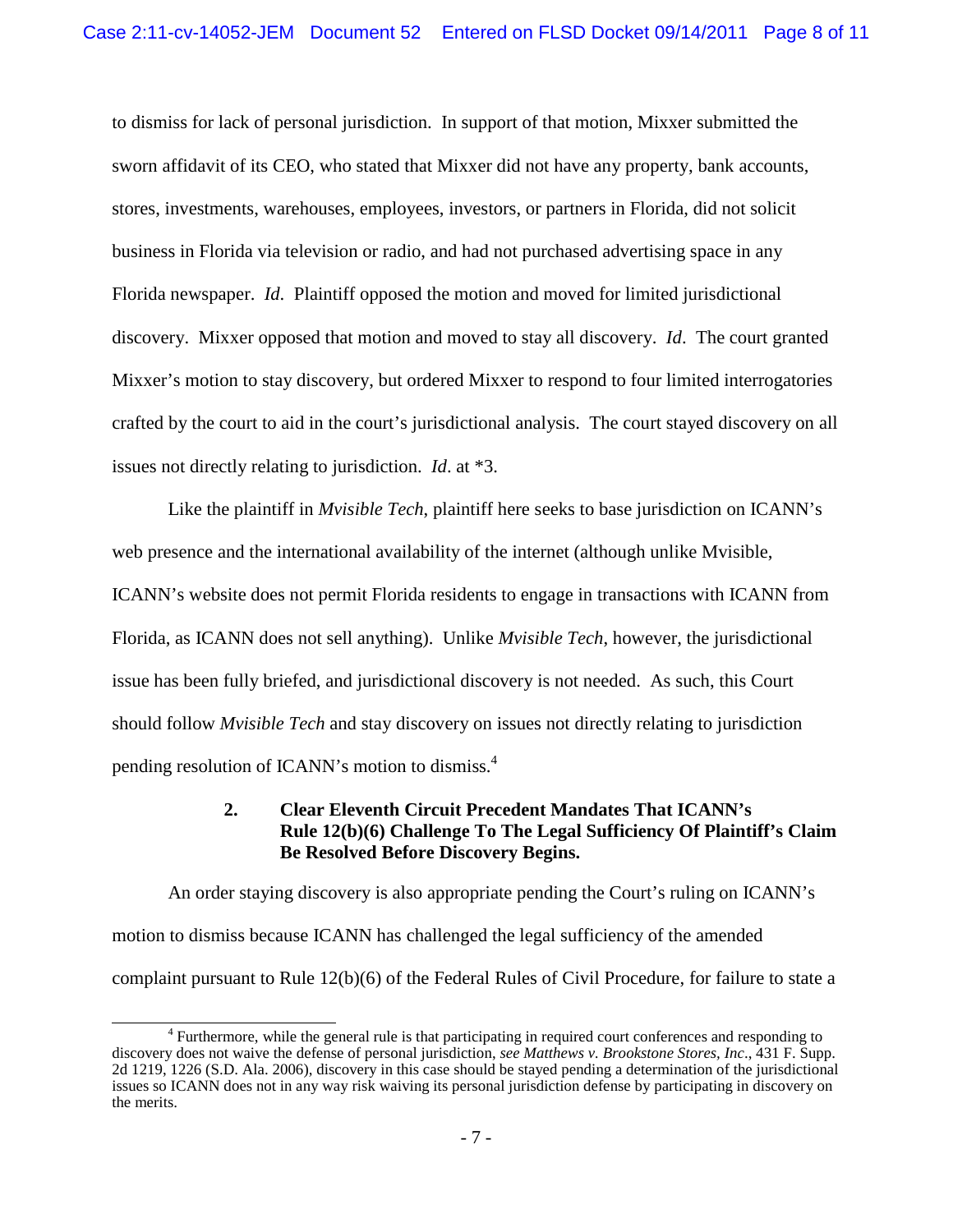to dismiss for lack of personal jurisdiction. In support of that motion, Mixxer submitted the sworn affidavit of its CEO, who stated that Mixxer did not have any property, bank accounts, stores, investments, warehouses, employees, investors, or partners in Florida, did not solicit business in Florida via television or radio, and had not purchased advertising space in any Florida newspaper. *Id*. Plaintiff opposed the motion and moved for limited jurisdictional discovery. Mixxer opposed that motion and moved to stay all discovery. *Id*. The court granted Mixxer's motion to stay discovery, but ordered Mixxer to respond to four limited interrogatories crafted by the court to aid in the court's jurisdictional analysis. The court stayed discovery on all issues not directly relating to jurisdiction. *Id*. at \*3.

Like the plaintiff in *Mvisible Tech*, plaintiff here seeks to base jurisdiction on ICANN's web presence and the international availability of the internet (although unlike Mvisible, ICANN's website does not permit Florida residents to engage in transactions with ICANN from Florida, as ICANN does not sell anything). Unlike *Mvisible Tech*, however, the jurisdictional issue has been fully briefed, and jurisdictional discovery is not needed. As such, this Court should follow *Mvisible Tech* and stay discovery on issues not directly relating to jurisdiction pending resolution of ICANN's motion to dismiss.<sup>4</sup>

## **2. Clear Eleventh Circuit Precedent Mandates That ICANN's Rule 12(b)(6) Challenge To The Legal Sufficiency Of Plaintiff's Claim Be Resolved Before Discovery Begins.**

An order staying discovery is also appropriate pending the Court's ruling on ICANN's motion to dismiss because ICANN has challenged the legal sufficiency of the amended complaint pursuant to Rule 12(b)(6) of the Federal Rules of Civil Procedure, for failure to state a

<sup>&</sup>lt;sup>4</sup> Furthermore, while the general rule is that participating in required court conferences and responding to discovery does not waive the defense of personal jurisdiction, *see Matthews v. Brookstone Stores, Inc*., 431 F. Supp. 2d 1219, 1226 (S.D. Ala. 2006), discovery in this case should be stayed pending a determination of the jurisdictional issues so ICANN does not in any way risk waiving its personal jurisdiction defense by participating in discovery on the merits.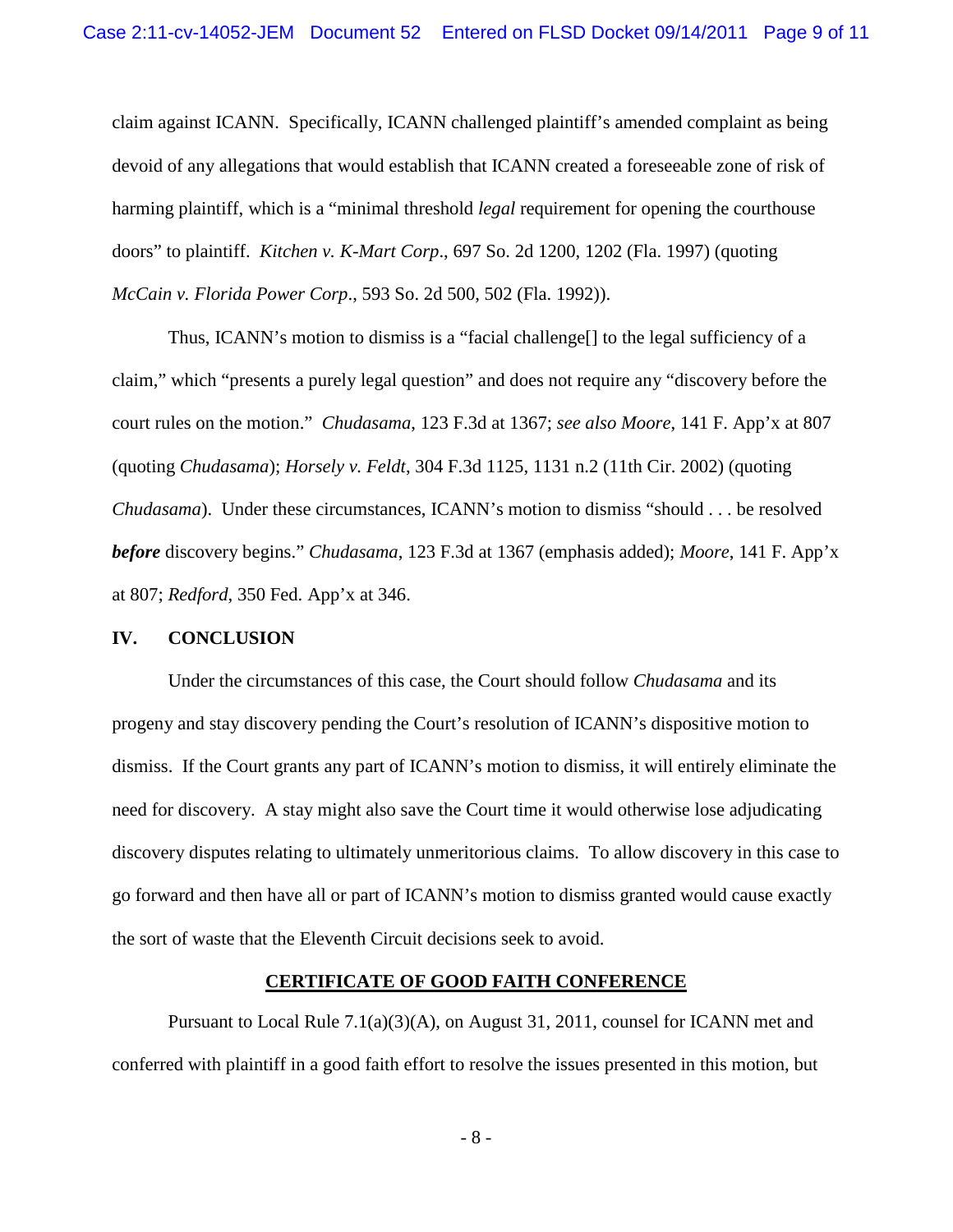claim against ICANN. Specifically, ICANN challenged plaintiff's amended complaint as being devoid of any allegations that would establish that ICANN created a foreseeable zone of risk of harming plaintiff, which is a "minimal threshold *legal* requirement for opening the courthouse doors" to plaintiff. *Kitchen v. K-Mart Corp*., 697 So. 2d 1200, 1202 (Fla. 1997) (quoting *McCain v. Florida Power Corp*., 593 So. 2d 500, 502 (Fla. 1992)).

Thus, ICANN's motion to dismiss is a "facial challenge[] to the legal sufficiency of a claim," which "presents a purely legal question" and does not require any "discovery before the court rules on the motion." *Chudasama*, 123 F.3d at 1367; *see also Moore*, 141 F. App'x at 807 (quoting *Chudasama*); *Horsely v. Feldt*, 304 F.3d 1125, 1131 n.2 (11th Cir. 2002) (quoting *Chudasama*). Under these circumstances, ICANN's motion to dismiss "should . . . be resolved *before* discovery begins." *Chudasama*, 123 F.3d at 1367 (emphasis added); *Moore*, 141 F. App'x at 807; *Redford*, 350 Fed. App'x at 346.

#### **IV. CONCLUSION**

Under the circumstances of this case, the Court should follow *Chudasama* and its progeny and stay discovery pending the Court's resolution of ICANN's dispositive motion to dismiss. If the Court grants any part of ICANN's motion to dismiss, it will entirely eliminate the need for discovery. A stay might also save the Court time it would otherwise lose adjudicating discovery disputes relating to ultimately unmeritorious claims. To allow discovery in this case to go forward and then have all or part of ICANN's motion to dismiss granted would cause exactly the sort of waste that the Eleventh Circuit decisions seek to avoid.

### **CERTIFICATE OF GOOD FAITH CONFERENCE**

Pursuant to Local Rule  $7.1(a)(3)(A)$ , on August 31, 2011, counsel for ICANN met and conferred with plaintiff in a good faith effort to resolve the issues presented in this motion, but

- 8 -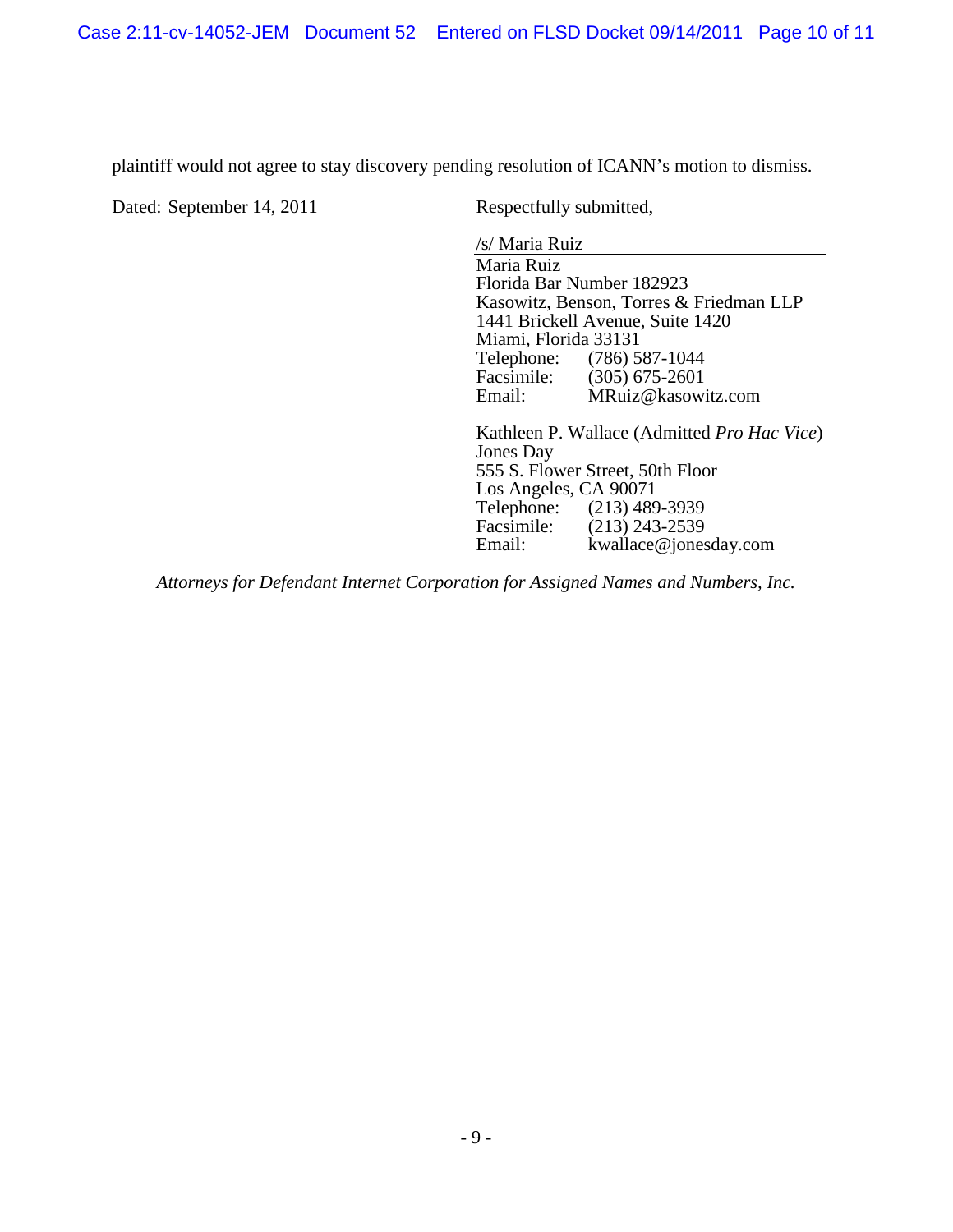Case 2:11-cv-14052-JEM Document 52 Entered on FLSD Docket 09/14/2011 Page 10 of 11

plaintiff would not agree to stay discovery pending resolution of ICANN's motion to dismiss.

Dated: September 14, 2011 Respectfully submitted,

/s/ Maria Ruiz

Maria Ruiz Florida Bar Number 182923 Kasowitz, Benson, Torres & Friedman LLP 1441 Brickell Avenue, Suite 1420 Miami, Florida 33131<br>Telephone: (786) 5 Telephone: (786) 587-1044<br>Facsimile: (305) 675-2601 Facsimile: (305) 675-2601<br>Email: MRuiz@kasowi  $MRuiz@kasowitz.com$ 

Kathleen P. Wallace (Admitted *Pro Hac Vice*) Jones Day 555 S. Flower Street, 50th Floor Los Angeles, CA 90071<br>Telephone: (213) 489 Telephone: (213) 489-3939<br>Facsimile: (213) 243-2539 Facsimile: (213) 243-2539<br>Email: kwallace@iones kwallace@jonesday.com

*Attorneys for Defendant Internet Corporation for Assigned Names and Numbers, Inc.*